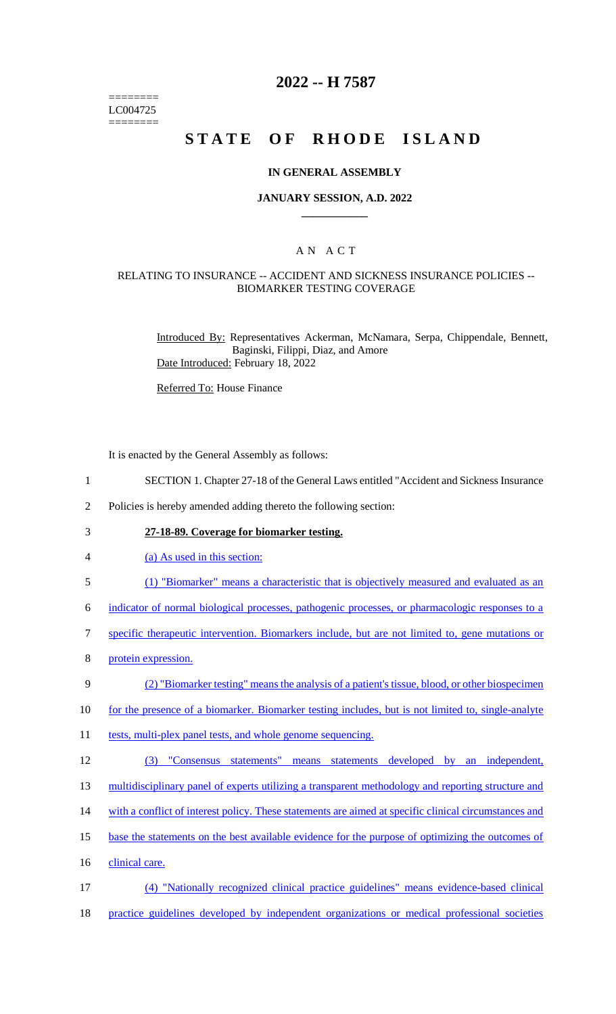======== LC004725 ========

## **2022 -- H 7587**

# **STATE OF RHODE ISLAND**

#### **IN GENERAL ASSEMBLY**

#### **JANUARY SESSION, A.D. 2022 \_\_\_\_\_\_\_\_\_\_\_\_**

### A N A C T

#### RELATING TO INSURANCE -- ACCIDENT AND SICKNESS INSURANCE POLICIES -- BIOMARKER TESTING COVERAGE

Introduced By: Representatives Ackerman, McNamara, Serpa, Chippendale, Bennett, Baginski, Filippi, Diaz, and Amore Date Introduced: February 18, 2022

Referred To: House Finance

It is enacted by the General Assembly as follows:

- 1 SECTION 1. Chapter 27-18 of the General Laws entitled "Accident and Sickness Insurance
- 2 Policies is hereby amended adding thereto the following section:
- 3 **27-18-89. Coverage for biomarker testing.**
- 4 (a) As used in this section:
- 5 (1) "Biomarker" means a characteristic that is objectively measured and evaluated as an

6 indicator of normal biological processes, pathogenic processes, or pharmacologic responses to a

- 7 specific therapeutic intervention. Biomarkers include, but are not limited to, gene mutations or
- 8 protein expression.

#### 9 (2) "Biomarker testing" means the analysis of a patient's tissue, blood, or other biospecimen

- 10 for the presence of a biomarker. Biomarker testing includes, but is not limited to, single-analyte
- 11 tests, multi-plex panel tests, and whole genome sequencing.
- 12 (3) "Consensus statements" means statements developed by an independent,
- 13 multidisciplinary panel of experts utilizing a transparent methodology and reporting structure and
- 14 with a conflict of interest policy. These statements are aimed at specific clinical circumstances and
- 15 base the statements on the best available evidence for the purpose of optimizing the outcomes of
- 16 clinical care.
- 17 (4) "Nationally recognized clinical practice guidelines" means evidence-based clinical
- 18 practice guidelines developed by independent organizations or medical professional societies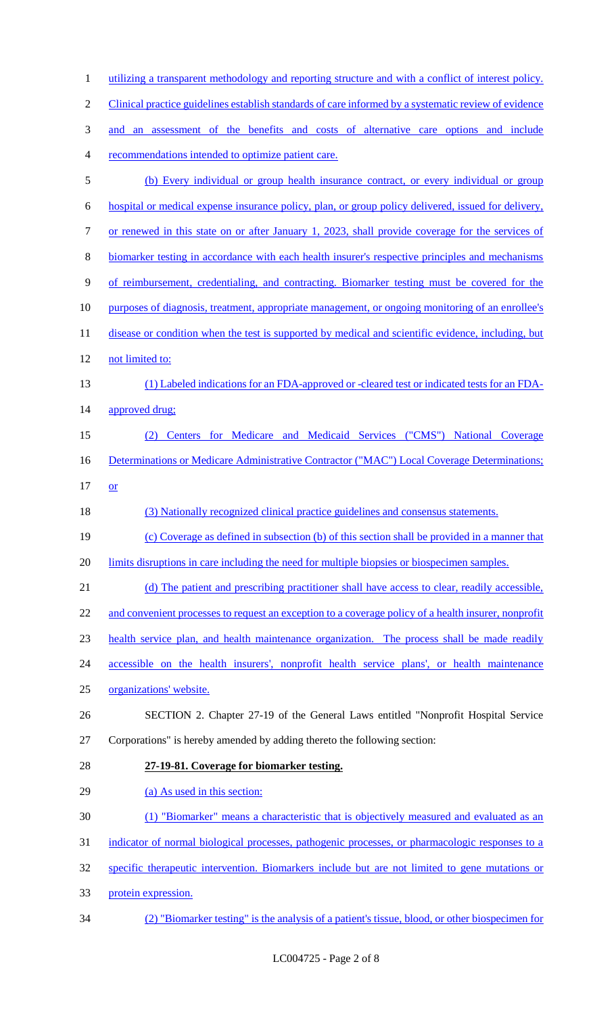1 utilizing a transparent methodology and reporting structure and with a conflict of interest policy. Clinical practice guidelines establish standards of care informed by a systematic review of evidence and an assessment of the benefits and costs of alternative care options and include recommendations intended to optimize patient care. (b) Every individual or group health insurance contract, or every individual or group hospital or medical expense insurance policy, plan, or group policy delivered, issued for delivery, or renewed in this state on or after January 1, 2023, shall provide coverage for the services of biomarker testing in accordance with each health insurer's respective principles and mechanisms of reimbursement, credentialing, and contracting. Biomarker testing must be covered for the purposes of diagnosis, treatment, appropriate management, or ongoing monitoring of an enrollee's 11 disease or condition when the test is supported by medical and scientific evidence, including, but not limited to: (1) Labeled indications for an FDA-approved or -cleared test or indicated tests for an FDA-14 approved drug; (2) Centers for Medicare and Medicaid Services ("CMS") National Coverage 16 Determinations or Medicare Administrative Contractor ("MAC") Local Coverage Determinations;  $17 \quad or$  (3) Nationally recognized clinical practice guidelines and consensus statements. (c) Coverage as defined in subsection (b) of this section shall be provided in a manner that 20 limits disruptions in care including the need for multiple biopsies or biospecimen samples. (d) The patient and prescribing practitioner shall have access to clear, readily accessible, 22 and convenient processes to request an exception to a coverage policy of a health insurer, nonprofit health service plan, and health maintenance organization. The process shall be made readily accessible on the health insurers', nonprofit health service plans', or health maintenance organizations' website. SECTION 2. Chapter 27-19 of the General Laws entitled "Nonprofit Hospital Service Corporations" is hereby amended by adding thereto the following section: **27-19-81. Coverage for biomarker testing.** 29 (a) As used in this section: (1) "Biomarker" means a characteristic that is objectively measured and evaluated as an 31 indicator of normal biological processes, pathogenic processes, or pharmacologic responses to a specific therapeutic intervention. Biomarkers include but are not limited to gene mutations or protein expression. (2) "Biomarker testing" is the analysis of a patient's tissue, blood, or other biospecimen for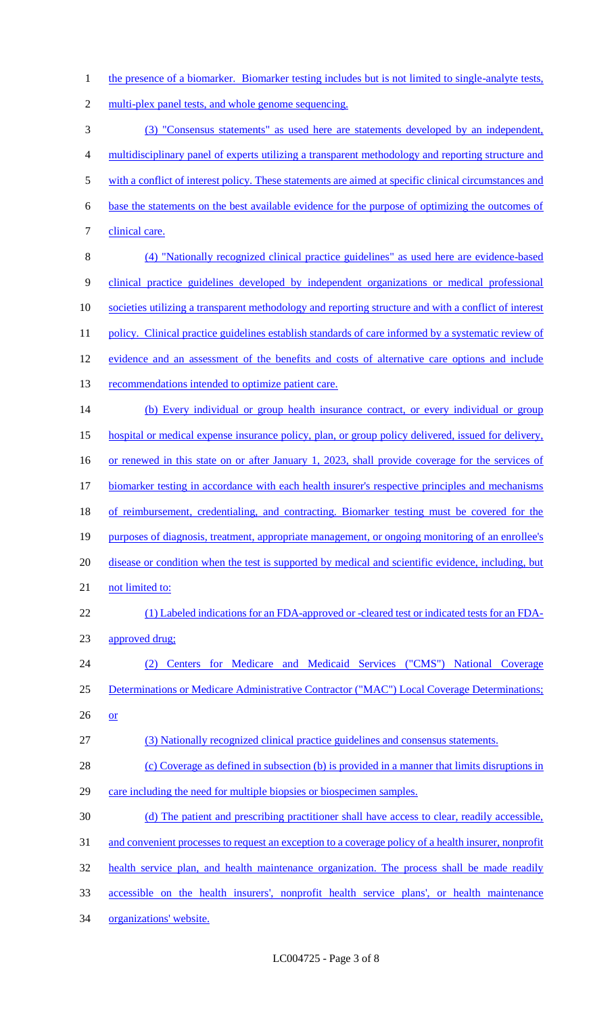1 the presence of a biomarker. Biomarker testing includes but is not limited to single-analyte tests,

2 multi-plex panel tests, and whole genome sequencing.

3 (3) "Consensus statements" as used here are statements developed by an independent, 4 multidisciplinary panel of experts utilizing a transparent methodology and reporting structure and 5 with a conflict of interest policy. These statements are aimed at specific clinical circumstances and 6 base the statements on the best available evidence for the purpose of optimizing the outcomes of 7 clinical care. 8 (4) "Nationally recognized clinical practice guidelines" as used here are evidence-based 9 clinical practice guidelines developed by independent organizations or medical professional 10 societies utilizing a transparent methodology and reporting structure and with a conflict of interest 11 policy. Clinical practice guidelines establish standards of care informed by a systematic review of 12 evidence and an assessment of the benefits and costs of alternative care options and include 13 recommendations intended to optimize patient care. 14 (b) Every individual or group health insurance contract, or every individual or group 15 hospital or medical expense insurance policy, plan, or group policy delivered, issued for delivery, 16 or renewed in this state on or after January 1, 2023, shall provide coverage for the services of 17 biomarker testing in accordance with each health insurer's respective principles and mechanisms 18 of reimbursement, credentialing, and contracting. Biomarker testing must be covered for the 19 purposes of diagnosis, treatment, appropriate management, or ongoing monitoring of an enrollee's 20 disease or condition when the test is supported by medical and scientific evidence, including, but 21 not limited to: 22 (1) Labeled indications for an FDA-approved or -cleared test or indicated tests for an FDA-23 approved drug; 24 (2) Centers for Medicare and Medicaid Services ("CMS") National Coverage 25 Determinations or Medicare Administrative Contractor ("MAC") Local Coverage Determinations; 26 or 27 (3) Nationally recognized clinical practice guidelines and consensus statements. 28 (c) Coverage as defined in subsection (b) is provided in a manner that limits disruptions in 29 care including the need for multiple biopsies or biospecimen samples. 30 (d) The patient and prescribing practitioner shall have access to clear, readily accessible, 31 and convenient processes to request an exception to a coverage policy of a health insurer, nonprofit 32 health service plan, and health maintenance organization. The process shall be made readily 33 accessible on the health insurers', nonprofit health service plans', or health maintenance 34 organizations' website.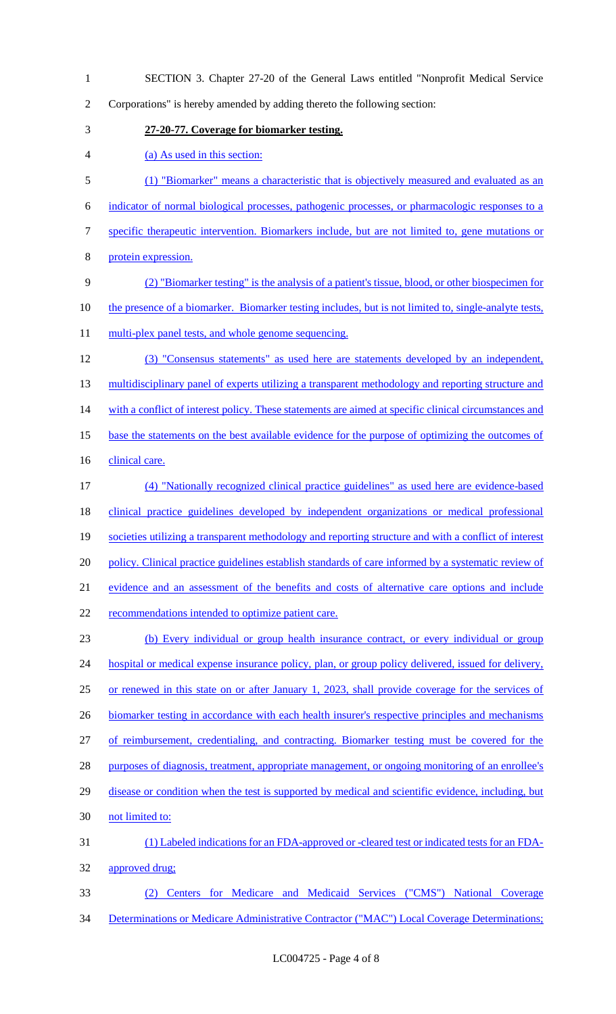SECTION 3. Chapter 27-20 of the General Laws entitled "Nonprofit Medical Service Corporations" is hereby amended by adding thereto the following section: **27-20-77. Coverage for biomarker testing.** (a) As used in this section: (1) "Biomarker" means a characteristic that is objectively measured and evaluated as an indicator of normal biological processes, pathogenic processes, or pharmacologic responses to a specific therapeutic intervention. Biomarkers include, but are not limited to, gene mutations or protein expression. (2) "Biomarker testing" is the analysis of a patient's tissue, blood, or other biospecimen for 10 the presence of a biomarker. Biomarker testing includes, but is not limited to, single-analyte tests, 11 multi-plex panel tests, and whole genome sequencing. (3) "Consensus statements" as used here are statements developed by an independent, 13 multidisciplinary panel of experts utilizing a transparent methodology and reporting structure and 14 with a conflict of interest policy. These statements are aimed at specific clinical circumstances and base the statements on the best available evidence for the purpose of optimizing the outcomes of 16 clinical care. (4) "Nationally recognized clinical practice guidelines" as used here are evidence-based clinical practice guidelines developed by independent organizations or medical professional societies utilizing a transparent methodology and reporting structure and with a conflict of interest policy. Clinical practice guidelines establish standards of care informed by a systematic review of evidence and an assessment of the benefits and costs of alternative care options and include 22 recommendations intended to optimize patient care. (b) Every individual or group health insurance contract, or every individual or group 24 hospital or medical expense insurance policy, plan, or group policy delivered, issued for delivery, or renewed in this state on or after January 1, 2023, shall provide coverage for the services of 26 biomarker testing in accordance with each health insurer's respective principles and mechanisms of reimbursement, credentialing, and contracting. Biomarker testing must be covered for the 28 purposes of diagnosis, treatment, appropriate management, or ongoing monitoring of an enrollee's 29 disease or condition when the test is supported by medical and scientific evidence, including, but not limited to: (1) Labeled indications for an FDA-approved or -cleared test or indicated tests for an FDA- approved drug; (2) Centers for Medicare and Medicaid Services ("CMS") National Coverage 34 Determinations or Medicare Administrative Contractor ("MAC") Local Coverage Determinations;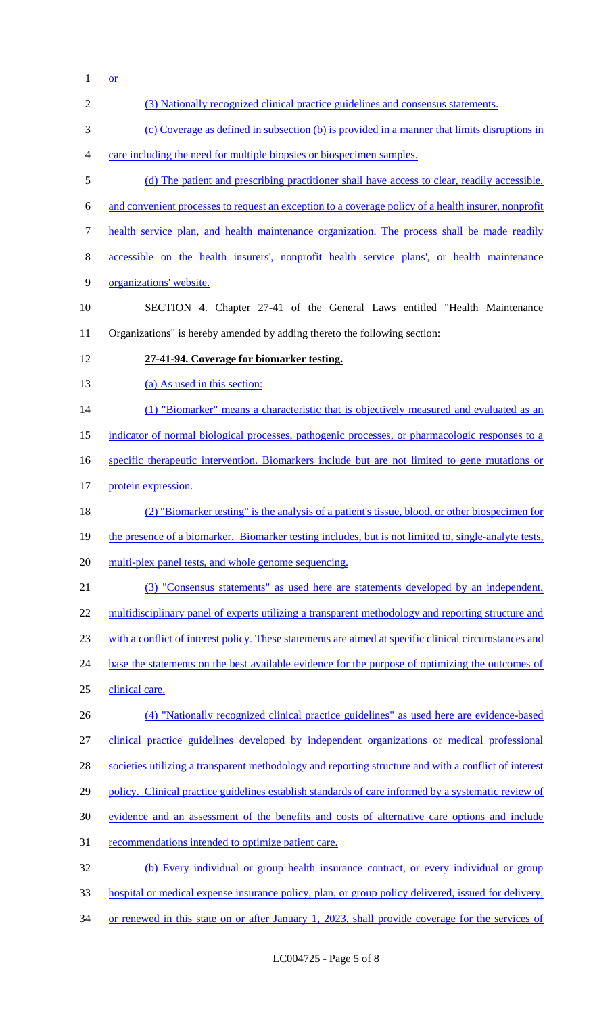$1 \quad \underline{\text{or}}$ 

| $\overline{2}$ | (3) Nationally recognized clinical practice guidelines and consensus statements.                      |
|----------------|-------------------------------------------------------------------------------------------------------|
| 3              | (c) Coverage as defined in subsection (b) is provided in a manner that limits disruptions in          |
| $\overline{4}$ | care including the need for multiple biopsies or biospecimen samples.                                 |
| 5              | (d) The patient and prescribing practitioner shall have access to clear, readily accessible,          |
| 6              | and convenient processes to request an exception to a coverage policy of a health insurer, nonprofit  |
| $\tau$         | health service plan, and health maintenance organization. The process shall be made readily           |
| $8\,$          | accessible on the health insurers', nonprofit health service plans', or health maintenance            |
| 9              | organizations' website.                                                                               |
| 10             | SECTION 4. Chapter 27-41 of the General Laws entitled "Health Maintenance                             |
| 11             | Organizations" is hereby amended by adding thereto the following section:                             |
| 12             | 27-41-94. Coverage for biomarker testing.                                                             |
| 13             | (a) As used in this section:                                                                          |
| 14             | (1) "Biomarker" means a characteristic that is objectively measured and evaluated as an               |
| 15             | indicator of normal biological processes, pathogenic processes, or pharmacologic responses to a       |
| 16             | specific therapeutic intervention. Biomarkers include but are not limited to gene mutations or        |
| 17             | protein expression.                                                                                   |
| 18             | (2) "Biomarker testing" is the analysis of a patient's tissue, blood, or other biospecimen for        |
| 19             | the presence of a biomarker. Biomarker testing includes, but is not limited to, single-analyte tests, |
| 20             | multi-plex panel tests, and whole genome sequencing.                                                  |
| 21             | (3) "Consensus statements" as used here are statements developed by an independent,                   |
| 22             | multidisciplinary panel of experts utilizing a transparent methodology and reporting structure and    |
| 23             | with a conflict of interest policy. These statements are aimed at specific clinical circumstances and |
| 24             | base the statements on the best available evidence for the purpose of optimizing the outcomes of      |
| 25             | clinical care.                                                                                        |
| 26             | (4) "Nationally recognized clinical practice guidelines" as used here are evidence-based              |
| 27             | clinical practice guidelines developed by independent organizations or medical professional           |
| 28             | societies utilizing a transparent methodology and reporting structure and with a conflict of interest |
| 29             | policy. Clinical practice guidelines establish standards of care informed by a systematic review of   |
| 30             | evidence and an assessment of the benefits and costs of alternative care options and include          |
| 31             | recommendations intended to optimize patient care.                                                    |
| 32             | (b) Every individual or group health insurance contract, or every individual or group                 |
| 33             | hospital or medical expense insurance policy, plan, or group policy delivered, issued for delivery,   |
| 34             | or renewed in this state on or after January 1, 2023, shall provide coverage for the services of      |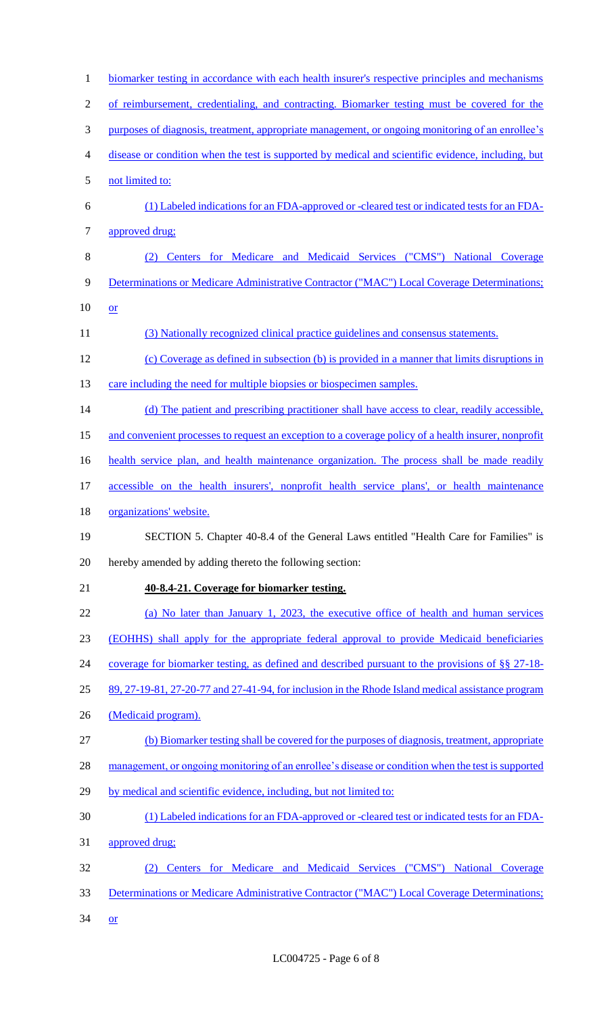| $\mathbf{1}$   | biomarker testing in accordance with each health insurer's respective principles and mechanisms      |
|----------------|------------------------------------------------------------------------------------------------------|
| $\overline{2}$ | of reimbursement, credentialing, and contracting. Biomarker testing must be covered for the          |
| 3              | purposes of diagnosis, treatment, appropriate management, or ongoing monitoring of an enrollee's     |
| 4              | disease or condition when the test is supported by medical and scientific evidence, including, but   |
| 5              | not limited to:                                                                                      |
| 6              | (1) Labeled indications for an FDA-approved or -cleared test or indicated tests for an FDA-          |
| 7              | approved drug;                                                                                       |
| 8              | Centers for Medicare and Medicaid Services ("CMS") National Coverage                                 |
| 9              | Determinations or Medicare Administrative Contractor ("MAC") Local Coverage Determinations;          |
| 10             | or                                                                                                   |
| 11             | (3) Nationally recognized clinical practice guidelines and consensus statements.                     |
| 12             | (c) Coverage as defined in subsection (b) is provided in a manner that limits disruptions in         |
| 13             | care including the need for multiple biopsies or biospecimen samples.                                |
| 14             | (d) The patient and prescribing practitioner shall have access to clear, readily accessible,         |
| 15             | and convenient processes to request an exception to a coverage policy of a health insurer, nonprofit |
| 16             | health service plan, and health maintenance organization. The process shall be made readily          |
| 17             | accessible on the health insurers', nonprofit health service plans', or health maintenance           |
| 18             | organizations' website.                                                                              |
| 19             | SECTION 5. Chapter 40-8.4 of the General Laws entitled "Health Care for Families" is                 |
| 20             | hereby amended by adding thereto the following section:                                              |
| 21             | 40-8.4-21. Coverage for biomarker testing.                                                           |
| 22             | (a) No later than January 1, 2023, the executive office of health and human services                 |
| 23             | (EOHHS) shall apply for the appropriate federal approval to provide Medicaid beneficiaries           |
| 24             | coverage for biomarker testing, as defined and described pursuant to the provisions of §§ 27-18-     |
| 25             | 89, 27-19-81, 27-20-77 and 27-41-94, for inclusion in the Rhode Island medical assistance program    |
| 26             | (Medicaid program).                                                                                  |
| 27             | (b) Biomarker testing shall be covered for the purposes of diagnosis, treatment, appropriate         |
| 28             | management, or ongoing monitoring of an enrollee's disease or condition when the test is supported   |
| 29             | by medical and scientific evidence, including, but not limited to:                                   |
| 30             | (1) Labeled indications for an FDA-approved or -cleared test or indicated tests for an FDA-          |
| 31             | approved drug;                                                                                       |
| 32             | Centers for Medicare and Medicaid Services ("CMS")<br><b>National Coverage</b>                       |
| 33             | Determinations or Medicare Administrative Contractor ("MAC") Local Coverage Determinations;          |
| 34             | <b>or</b>                                                                                            |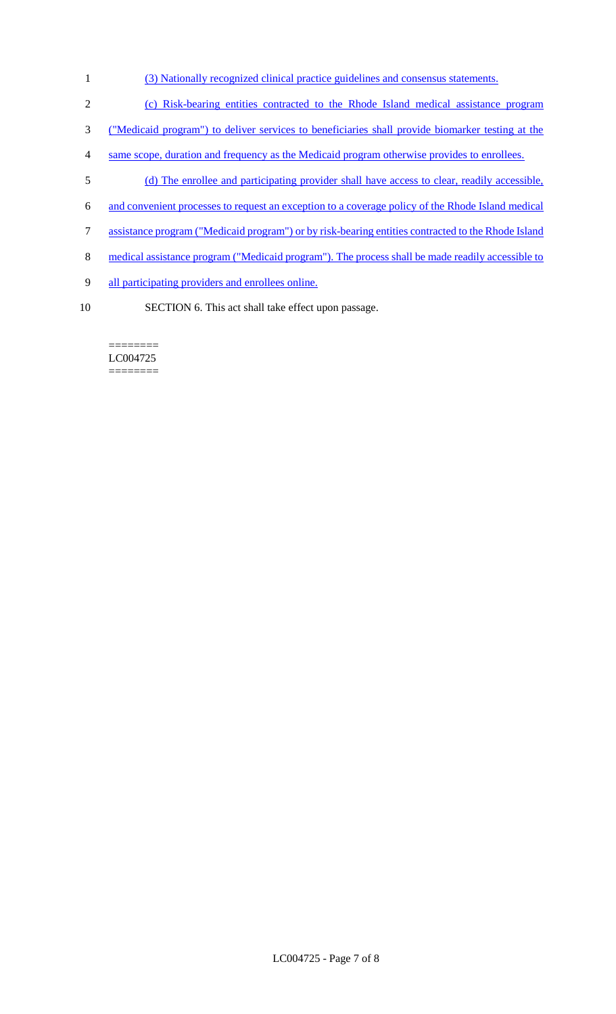- (3) Nationally recognized clinical practice guidelines and consensus statements.
- (c) Risk-bearing entities contracted to the Rhode Island medical assistance program
- ("Medicaid program") to deliver services to beneficiaries shall provide biomarker testing at the
- same scope, duration and frequency as the Medicaid program otherwise provides to enrollees.
- (d) The enrollee and participating provider shall have access to clear, readily accessible,
- and convenient processes to request an exception to a coverage policy of the Rhode Island medical
- assistance program ("Medicaid program") or by risk-bearing entities contracted to the Rhode Island
- 8 medical assistance program ("Medicaid program"). The process shall be made readily accessible to
- all participating providers and enrollees online.
- SECTION 6. This act shall take effect upon passage.

======== LC004725 ========